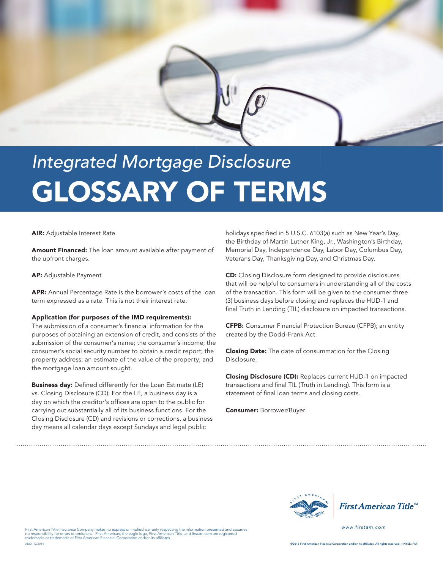

## *Integrated Mortgage Disclosure* GLOSSARY OF TERMS

AIR: Adjustable Interest Rate

Amount Financed: The loan amount available after payment of the upfront charges.

AP: Adjustable Payment

APR: Annual Percentage Rate is the borrower's costs of the loan term expressed as a rate. This is not their interest rate.

## Application (for purposes of the IMD requirements):

The submission of a consumer's financial information for the purposes of obtaining an extension of credit, and consists of the submission of the consumer's name; the consumer's income; the consumer's social security number to obtain a credit report; the property address; an estimate of the value of the property; and the mortgage loan amount sought.

**Business day:** Defined differently for the Loan Estimate (LE) vs. Closing Disclosure (CD): For the LE, a business day is a day on which the creditor's offices are open to the public for carrying out substantially all of its business functions. For the Closing Disclosure (CD) and revisions or corrections, a business day means all calendar days except Sundays and legal public

holidays specified in 5 U.S.C. 6103(a) such as New Year's Day, the Birthday of Martin Luther King, Jr., Washington's Birthday, Memorial Day, Independence Day, Labor Day, Columbus Day, Veterans Day, Thanksgiving Day, and Christmas Day.

CD: Closing Disclosure form designed to provide disclosures that will be helpful to consumers in understanding all of the costs of the transaction. This form will be given to the consumer three (3) business days before closing and replaces the HUD-1 and final Truth in Lending (TIL) disclosure on impacted transactions.

CFPB: Consumer Financial Protection Bureau (CFPB); an entity created by the Dodd-Frank Act.

**Closing Date:** The date of consummation for the Closing Disclosure.

Closing Disclosure (CD): Replaces current HUD-1 on impacted transactions and final TIL (Truth in Lending). This form is a statement of final loan terms and closing costs.

Consumer: Borrower/Buyer



First American Title Insurance Company makes no express or implied warranty respecting the information presented and assumes www.firstam.com www.firstam.com<br>no responsibility for errors or omissions. First American, the ea AMD: 12/2014